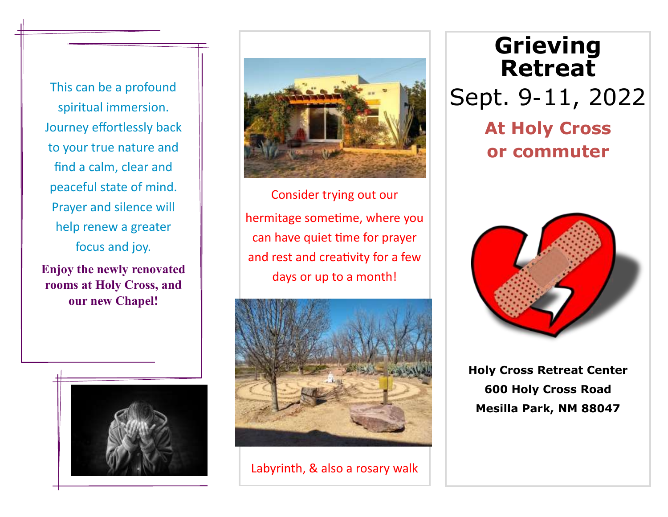This can be a profound spiritual immersion. Journey effortlessly back to your true nature and find a calm, clear and peaceful state of mind. Prayer and silence will help renew a greater focus and joy.

**Enjoy the newly renovated rooms at Holy Cross, and our new Chapel!**





Consider trying out our hermitage sometime, where you can have quiet time for prayer and rest and creativity for a few days or up to a month!



Labyrinth, & also a rosary walk

## **Grieving Retreat** Sept. 9-11, 2022 **At Holy Cross or commuter**



**Holy Cross Retreat Center 600 Holy Cross Road Mesilla Park, NM 88047**